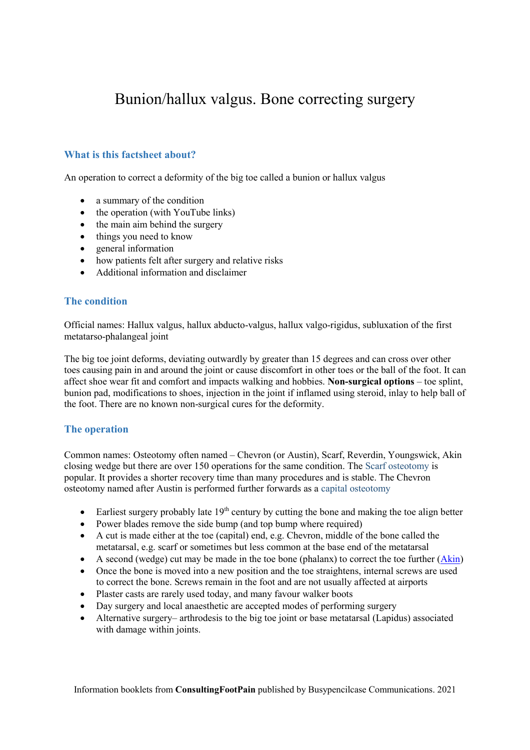# Bunion/hallux valgus. Bone correcting surgery

# **What is this factsheet about?**

An operation to correct a deformity of the big toe called a bunion or hallux valgus

- $\bullet$  a summary of the condition
- $\bullet$  the operation (with YouTube links)
- $\bullet$  the main aim behind the surgery
- $\bullet$  things you need to know
- $\bullet$  general information
- how patients felt after surgery and relative risks
- x Additional information and disclaimer

# **The condition**

Official names: Hallux valgus, hallux abducto-valgus, hallux valgo-rigidus, subluxation of the first metatarso-phalangeal joint

The big toe joint deforms, deviating outwardly by greater than 15 degrees and can cross over other toes causing pain in and around the joint or cause discomfort in other toes or the ball of the foot. It can affect shoe wear fit and comfort and impacts walking and hobbies. **Non-surgical options** – toe splint, bunion pad, modifications to shoes, injection in the joint if inflamed using steroid, inlay to help ball of the foot. There are no known non-surgical cures for the deformity.

# **The operation**

Common names: Osteotomy often named – Chevron (or Austin), Scarf, Reverdin, Youngswick, Akin closing wedge but there are over 150 operations for the same condition. The Scarf osteotomy is popular. It provides a shorter recovery time than many procedures and is stable. The Chevron osteotomy named after Austin is performed further forwards as a capital osteotomy

- Earliest surgery probably late  $19<sup>th</sup>$  century by cutting the bone and making the toe align better
- Power blades remove the side bump (and top bump where required)
- $\bullet$  A cut is made either at the toe (capital) end, e.g. Chevron, middle of the bone called the metatarsal, e.g. scarf or sometimes but less common at the base end of the metatarsal
- A second (wedge) cut may be made in the toe bone (phalanx) to correct the toe further  $(Akin)$
- Once the bone is moved into a new position and the toe straightens, internal screws are used to correct the bone. Screws remain in the foot and are not usually affected at airports
- Plaster casts are rarely used today, and many favour walker boots
- Day surgery and local anaesthetic are accepted modes of performing surgery
- Alternative surgery– arthrodesis to the big toe joint or base metatarsal (Lapidus) associated with damage within joints.

Information booklets from **ConsultingFootPain** published by Busypencilcase Communications. 2021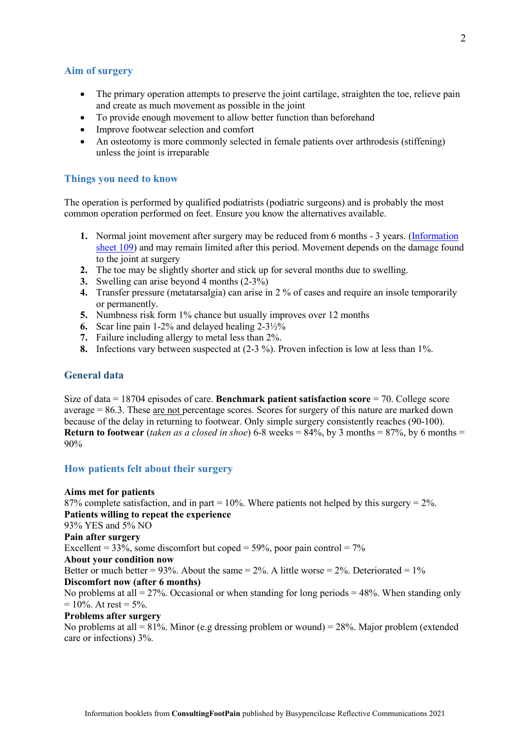#### **Aim of surgery**

- The primary operation attempts to preserve the joint cartilage, straighten the toe, relieve pain and create as much movement as possible in the joint
- To provide enough movement to allow better function than beforehand
- Improve footwear selection and comfort
- An osteotomy is more commonly selected in female patients over arthrodesis (stiffening) unless the joint is irreparable

#### **Things you need to know**

The operation is performed by qualified podiatrists (podiatric surgeons) and is probably the most common operation performed on feet. Ensure you know the alternatives available.

- **1.** Normal joint movement after surgery may be reduced from 6 months 3 years. (Information sheet 109) and may remain limited after this period. Movement depends on the damage found to the joint at surgery
- **2.** The toe may be slightly shorter and stick up for several months due to swelling.
- **3.** Swelling can arise beyond 4 months (2-3%)
- **4.** Transfer pressure (metatarsalgia) can arise in 2 % of cases and require an insole temporarily or permanently.
- **5.** Numbness risk form 1% chance but usually improves over 12 months
- **6.** Scar line pain 1-2% and delayed healing 2-3½%
- **7.** Failure including allergy to metal less than 2%.
- **8.** Infections vary between suspected at (2-3 %). Proven infection is low at less than 1%.

#### **General data**

Size of data = 18704 episodes of care. **Benchmark patient satisfaction score** = 70. College score average = 86.3. These are not percentage scores. Scores for surgery of this nature are marked down because of the delay in returning to footwear. Only simple surgery consistently reaches (90-100). **Return to footwear** (*taken as a closed in shoe*) 6-8 weeks = 84%, by 3 months = 87%, by 6 months = 90%

#### **How patients felt about their surgery**

#### **Aims met for patients**

87% complete satisfaction, and in part =  $10\%$ . Where patients not helped by this surgery =  $2\%$ . **Patients willing to repeat the experience** 93% YES and 5% NO **Pain after surgery** Excellent =  $33\%$ , some discomfort but coped =  $59\%$ , poor pain control =  $7\%$ **About your condition now** Better or much better = 93%. About the same =  $2\%$ . A little worse =  $2\%$ . Deteriorated =  $1\%$ **Discomfort now (after 6 months)** No problems at all  $= 27\%$ . Occasional or when standing for long periods  $= 48\%$ . When standing only  $= 10\%$ . At rest  $= 5\%$ .

# **Problems after surgery**

No problems at all  $= 81\%$ . Minor (e.g dressing problem or wound)  $= 28\%$ . Major problem (extended care or infections) 3%.